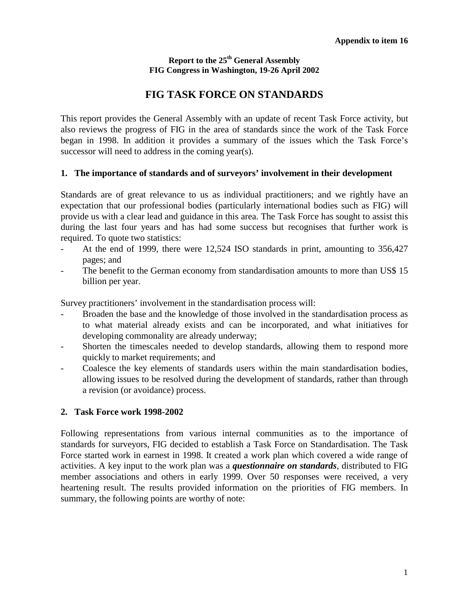#### **Report to the 25th General Assembly FIG Congress in Washington, 19-26 April 2002**

# **FIG TASK FORCE ON STANDARDS**

This report provides the General Assembly with an update of recent Task Force activity, but also reviews the progress of FIG in the area of standards since the work of the Task Force began in 1998. In addition it provides a summary of the issues which the Task Force's successor will need to address in the coming year(s).

### **1. The importance of standards and of surveyors' involvement in their development**

Standards are of great relevance to us as individual practitioners; and we rightly have an expectation that our professional bodies (particularly international bodies such as FIG) will provide us with a clear lead and guidance in this area. The Task Force has sought to assist this during the last four years and has had some success but recognises that further work is required. To quote two statistics:

- At the end of 1999, there were 12,524 ISO standards in print, amounting to 356,427 pages; and
- The benefit to the German economy from standardisation amounts to more than US\$ 15 billion per year.

Survey practitioners' involvement in the standardisation process will:

- Broaden the base and the knowledge of those involved in the standardisation process as to what material already exists and can be incorporated, and what initiatives for developing commonality are already underway;
- Shorten the timescales needed to develop standards, allowing them to respond more quickly to market requirements; and
- Coalesce the key elements of standards users within the main standardisation bodies, allowing issues to be resolved during the development of standards, rather than through a revision (or avoidance) process.

### **2. Task Force work 1998-2002**

Following representations from various internal communities as to the importance of standards for surveyors, FIG decided to establish a Task Force on Standardisation. The Task Force started work in earnest in 1998. It created a work plan which covered a wide range of activities. A key input to the work plan was a *questionnaire on standards*, distributed to FIG member associations and others in early 1999. Over 50 responses were received, a very heartening result. The results provided information on the priorities of FIG members. In summary, the following points are worthy of note: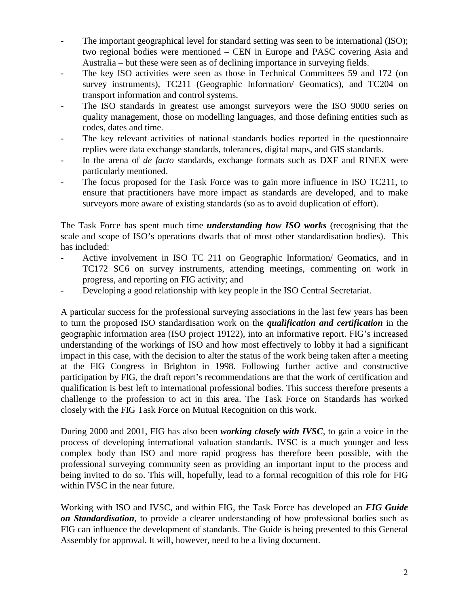- The important geographical level for standard setting was seen to be international (ISO); two regional bodies were mentioned – CEN in Europe and PASC covering Asia and Australia – but these were seen as of declining importance in surveying fields.
- The key ISO activities were seen as those in Technical Committees 59 and 172 (on survey instruments), TC211 (Geographic Information/ Geomatics), and TC204 on transport information and control systems.
- The ISO standards in greatest use amongst surveyors were the ISO 9000 series on quality management, those on modelling languages, and those defining entities such as codes, dates and time.
- The key relevant activities of national standards bodies reported in the questionnaire replies were data exchange standards, tolerances, digital maps, and GIS standards.
- In the arena of *de facto* standards, exchange formats such as DXF and RINEX were particularly mentioned.
- The focus proposed for the Task Force was to gain more influence in ISO TC211, to ensure that practitioners have more impact as standards are developed, and to make surveyors more aware of existing standards (so as to avoid duplication of effort).

The Task Force has spent much time *understanding how ISO works* (recognising that the scale and scope of ISO's operations dwarfs that of most other standardisation bodies). This has included:

- Active involvement in ISO TC 211 on Geographic Information/ Geomatics, and in TC172 SC6 on survey instruments, attending meetings, commenting on work in progress, and reporting on FIG activity; and
- Developing a good relationship with key people in the ISO Central Secretariat.

A particular success for the professional surveying associations in the last few years has been to turn the proposed ISO standardisation work on the *qualification and certification* in the geographic information area (ISO project 19122), into an informative report. FIG's increased understanding of the workings of ISO and how most effectively to lobby it had a significant impact in this case, with the decision to alter the status of the work being taken after a meeting at the FIG Congress in Brighton in 1998. Following further active and constructive participation by FIG, the draft report's recommendations are that the work of certification and qualification is best left to international professional bodies. This success therefore presents a challenge to the profession to act in this area. The Task Force on Standards has worked closely with the FIG Task Force on Mutual Recognition on this work.

During 2000 and 2001, FIG has also been *working closely with IVSC*, to gain a voice in the process of developing international valuation standards. IVSC is a much younger and less complex body than ISO and more rapid progress has therefore been possible, with the professional surveying community seen as providing an important input to the process and being invited to do so. This will, hopefully, lead to a formal recognition of this role for FIG within IVSC in the near future.

Working with ISO and IVSC, and within FIG, the Task Force has developed an *FIG Guide on Standardisation*, to provide a clearer understanding of how professional bodies such as FIG can influence the development of standards. The Guide is being presented to this General Assembly for approval. It will, however, need to be a living document.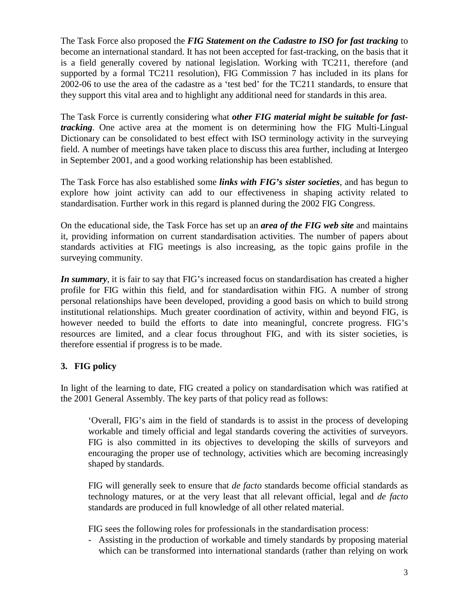The Task Force also proposed the *FIG Statement on the Cadastre to ISO for fast tracking* to become an international standard. It has not been accepted for fast-tracking, on the basis that it is a field generally covered by national legislation. Working with TC211, therefore (and supported by a formal TC211 resolution), FIG Commission 7 has included in its plans for 2002-06 to use the area of the cadastre as a 'test bed' for the TC211 standards, to ensure that they support this vital area and to highlight any additional need for standards in this area.

The Task Force is currently considering what *other FIG material might be suitable for fasttracking*. One active area at the moment is on determining how the FIG Multi-Lingual Dictionary can be consolidated to best effect with ISO terminology activity in the surveying field. A number of meetings have taken place to discuss this area further, including at Intergeo in September 2001, and a good working relationship has been established.

The Task Force has also established some *links with FIG's sister societies*, and has begun to explore how joint activity can add to our effectiveness in shaping activity related to standardisation. Further work in this regard is planned during the 2002 FIG Congress.

On the educational side, the Task Force has set up an *area of the FIG web site* and maintains it, providing information on current standardisation activities. The number of papers about standards activities at FIG meetings is also increasing, as the topic gains profile in the surveying community.

*In summary*, it is fair to say that FIG's increased focus on standardisation has created a higher profile for FIG within this field, and for standardisation within FIG. A number of strong personal relationships have been developed, providing a good basis on which to build strong institutional relationships. Much greater coordination of activity, within and beyond FIG, is however needed to build the efforts to date into meaningful, concrete progress. FIG's resources are limited, and a clear focus throughout FIG, and with its sister societies, is therefore essential if progress is to be made.

### **3. FIG policy**

In light of the learning to date, FIG created a policy on standardisation which was ratified at the 2001 General Assembly. The key parts of that policy read as follows:

'Overall, FIG's aim in the field of standards is to assist in the process of developing workable and timely official and legal standards covering the activities of surveyors. FIG is also committed in its objectives to developing the skills of surveyors and encouraging the proper use of technology, activities which are becoming increasingly shaped by standards.

FIG will generally seek to ensure that *de facto* standards become official standards as technology matures, or at the very least that all relevant official, legal and *de facto* standards are produced in full knowledge of all other related material.

FIG sees the following roles for professionals in the standardisation process:

- Assisting in the production of workable and timely standards by proposing material which can be transformed into international standards (rather than relying on work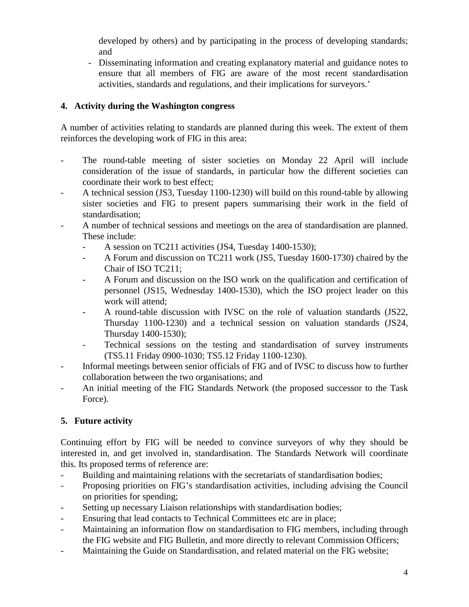developed by others) and by participating in the process of developing standards; and

- Disseminating information and creating explanatory material and guidance notes to ensure that all members of FIG are aware of the most recent standardisation activities, standards and regulations, and their implications for surveyors.'

## **4. Activity during the Washington congress**

A number of activities relating to standards are planned during this week. The extent of them reinforces the developing work of FIG in this area:

- The round-table meeting of sister societies on Monday 22 April will include consideration of the issue of standards, in particular how the different societies can coordinate their work to best effect;
- A technical session (JS3, Tuesday 1100-1230) will build on this round-table by allowing sister societies and FIG to present papers summarising their work in the field of standardisation;
- A number of technical sessions and meetings on the area of standardisation are planned. These include:
	- A session on TC211 activities (JS4, Tuesday 1400-1530);
	- A Forum and discussion on TC211 work (JS5, Tuesday 1600-1730) chaired by the Chair of ISO TC211;
	- A Forum and discussion on the ISO work on the qualification and certification of personnel (JS15, Wednesday 1400-1530), which the ISO project leader on this work will attend;
	- A round-table discussion with IVSC on the role of valuation standards (JS22, Thursday 1100-1230) and a technical session on valuation standards (JS24, Thursday 1400-1530);
	- Technical sessions on the testing and standardisation of survey instruments (TS5.11 Friday 0900-1030; TS5.12 Friday 1100-1230).
- Informal meetings between senior officials of FIG and of IVSC to discuss how to further collaboration between the two organisations; and
- An initial meeting of the FIG Standards Network (the proposed successor to the Task Force).

## **5. Future activity**

Continuing effort by FIG will be needed to convince surveyors of why they should be interested in, and get involved in, standardisation. The Standards Network will coordinate this. Its proposed terms of reference are:

- Building and maintaining relations with the secretariats of standardisation bodies;
- Proposing priorities on FIG's standardisation activities, including advising the Council on priorities for spending;
- Setting up necessary Liaison relationships with standardisation bodies;
- Ensuring that lead contacts to Technical Committees etc are in place;
- Maintaining an information flow on standardisation to FIG members, including through the FIG website and FIG Bulletin, and more directly to relevant Commission Officers;
- Maintaining the Guide on Standardisation, and related material on the FIG website;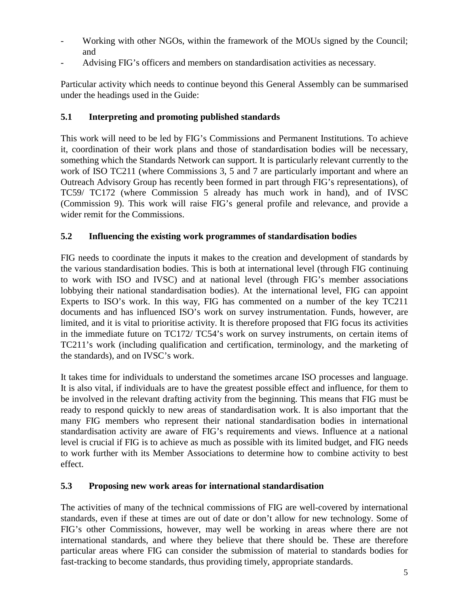- Working with other NGOs, within the framework of the MOUs signed by the Council; and
- Advising FIG's officers and members on standardisation activities as necessary.

Particular activity which needs to continue beyond this General Assembly can be summarised under the headings used in the Guide:

### **5.1 Interpreting and promoting published standards**

This work will need to be led by FIG's Commissions and Permanent Institutions. To achieve it, coordination of their work plans and those of standardisation bodies will be necessary, something which the Standards Network can support. It is particularly relevant currently to the work of ISO TC211 (where Commissions 3, 5 and 7 are particularly important and where an Outreach Advisory Group has recently been formed in part through FIG's representations), of TC59/ TC172 (where Commission 5 already has much work in hand), and of IVSC (Commission 9). This work will raise FIG's general profile and relevance, and provide a wider remit for the Commissions.

### **5.2 Influencing the existing work programmes of standardisation bodies**

FIG needs to coordinate the inputs it makes to the creation and development of standards by the various standardisation bodies. This is both at international level (through FIG continuing to work with ISO and IVSC) and at national level (through FIG's member associations lobbying their national standardisation bodies). At the international level, FIG can appoint Experts to ISO's work. In this way, FIG has commented on a number of the key TC211 documents and has influenced ISO's work on survey instrumentation. Funds, however, are limited, and it is vital to prioritise activity. It is therefore proposed that FIG focus its activities in the immediate future on TC172/ TC54's work on survey instruments, on certain items of TC211's work (including qualification and certification, terminology, and the marketing of the standards), and on IVSC's work.

It takes time for individuals to understand the sometimes arcane ISO processes and language. It is also vital, if individuals are to have the greatest possible effect and influence, for them to be involved in the relevant drafting activity from the beginning. This means that FIG must be ready to respond quickly to new areas of standardisation work. It is also important that the many FIG members who represent their national standardisation bodies in international standardisation activity are aware of FIG's requirements and views. Influence at a national level is crucial if FIG is to achieve as much as possible with its limited budget, and FIG needs to work further with its Member Associations to determine how to combine activity to best effect.

### **5.3 Proposing new work areas for international standardisation**

The activities of many of the technical commissions of FIG are well-covered by international standards, even if these at times are out of date or don't allow for new technology. Some of FIG's other Commissions, however, may well be working in areas where there are not international standards, and where they believe that there should be. These are therefore particular areas where FIG can consider the submission of material to standards bodies for fast-tracking to become standards, thus providing timely, appropriate standards.